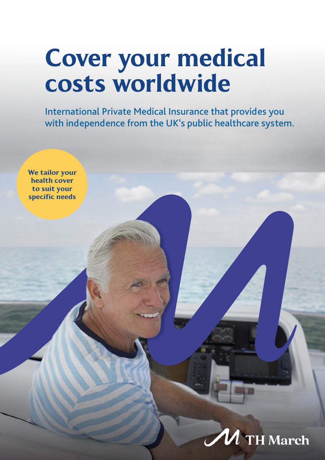# Cover your medical costs worldwide

International Private Medical Insurance that provides you with independence from the UK's public healthcare system.



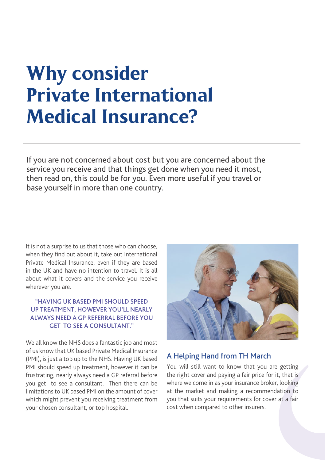## Why consider Private International Medical Insurance?

If you are not concerned about cost but you are concerned about the service you receive and that things get done when you need it most, then read on, this could be for you. Even more useful if you travel or base yourself in more than one country.

It is not a surprise to us that those who can choose, when they find out about it, take out International Private Medical Insurance, even if they are based in the UK and have no intention to travel. It is all about what it covers and the service you receive wherever you are.

#### "HAVING UK BASED PMI SHOULD SPEED UP TREATMENT, HOWEVER YOU'LL NEARLY ALWAYS NEED A GP REFERRAL BEFORE YOU GET TO SEE A CONSULTANT."

We all know the NHS does a fantastic job and most of us know that UK based Private Medical Insurance (PMI), is just a top up to the NHS. Having UK based PMI should speed up treatment, however it can be frustrating, nearly always need a GP referral before you get to see a consultant. Then there can be limitations to UK based PMI on the amount of cover which might prevent you receiving treatment from your chosen consultant, or top hospital.



#### A Helping Hand from TH March

You will still want to know that you are getting the right cover and paying a fair price for it, that is where we come in as your insurance broker, looking at the market and making a recommendation to you that suits your requirements for cover at a fair cost when compared to other insurers.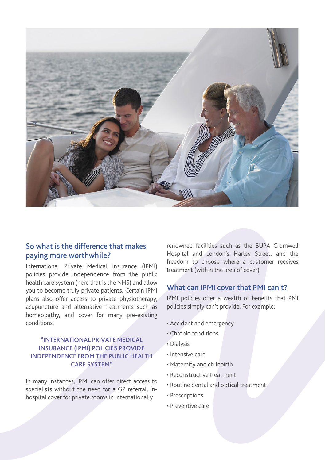

### So what is the difference that makes paying more worthwhile?

International Private Medical Insurance (IPMI) policies provide independence from the public health care system (here that is the NHS) and allow you to become truly private patients. Certain IPMI plans also offer access to private physiotherapy, acupuncture and alternative treatments such as homeopathy, and cover for many pre-existing conditions.

#### "INTERNATIONAL PRIVATE MEDICAL INSURANCE (IPMI) POLICIES PROVIDE INDEPENDENCE FROM THE PUBLIC HEALTH CARE SYSTEM"

In many instances, IPMI can offer direct access to specialists without the need for a GP referral, inhospital cover for private rooms in internationally

renowned facilities such as the BUPA Cromwell Hospital and London's Harley Street, and the freedom to choose where a customer receives treatment (within the area of cover).

### What can IPMI cover that PMI can't?

IPMI policies offer a wealth of benefits that PMI policies simply can't provide. For example:

- Accident and emergency
- Chronic conditions
- Dialysis
- Intensive care
- Maternity and childbirth
- Reconstructive treatment
- Routine dental and optical treatment
- Prescriptions
- Preventive care